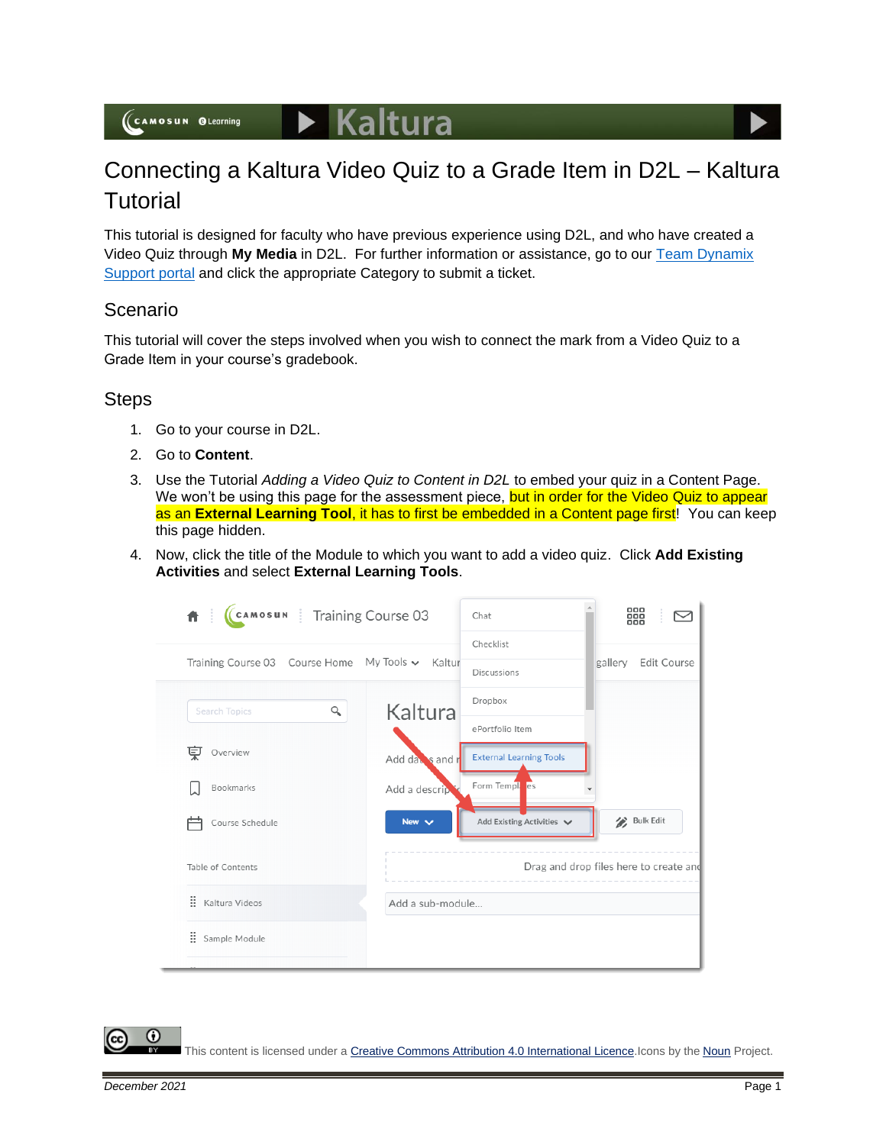## Connecting a Kaltura Video Quiz to a Grade Item in D2L – Kaltura **Tutorial**

This tutorial is designed for faculty who have previous experience using D2L, and who have created a Video Quiz through **My Media** in D2L. For further information or assistance, go to our [Team Dynamix](https://camosun.teamdynamix.com/TDClient/67/Portal/Requests/ServiceCatalog?CategoryID=523)  [Support portal](https://camosun.teamdynamix.com/TDClient/67/Portal/Requests/ServiceCatalog?CategoryID=523) and click the appropriate Category to submit a ticket.

## Scenario

This tutorial will cover the steps involved when you wish to connect the mark from a Video Quiz to a Grade Item in your course's gradebook.

## **Steps**

- 1. Go to your course in D2L.
- 2. Go to **Content**.
- 3. Use the Tutorial *Adding a Video Quiz to Content in D2L* to embed your quiz in a Content Page. We won't be using this page for the assessment piece, but in order for the Video Quiz to appear as an **External Learning Tool**, it has to first be embedded in a Content page first! You can keep this page hidden.
- 4. Now, click the title of the Module to which you want to add a video quiz. Click **Add Existing Activities** and select **External Learning Tools**.

| CAMOSUN Training Course 03<br>₩.          |                  | Chat                           | 器                                      |
|-------------------------------------------|------------------|--------------------------------|----------------------------------------|
| Training Course 03 Course Home My Tools v | Kaltur           | Checklist<br>Discussions       | gallery<br><b>Edit Course</b>          |
| Q<br><b>Search Topics</b>                 | Kaltura          | Dropbox                        |                                        |
|                                           |                  | ePortfolio Item                |                                        |
| 稟<br>Overview                             | Add day's and r  | <b>External Learning Tools</b> |                                        |
| Bookmarks                                 | Add a descrip    | Form Temple es                 |                                        |
| Course Schedule                           | New $\vee$       | Add Existing Activities V      | Bulk Edit                              |
| Table of Contents                         |                  |                                | Drag and drop files here to create and |
| : Kaltura Videos                          | Add a sub-module |                                |                                        |
| B<br>Sample Module                        |                  |                                |                                        |

This content is licensed under [a Creative Commons Attribution 4.0 International Licence.I](https://creativecommons.org/licenses/by/4.0/)cons by the [Noun](https://creativecommons.org/website-icons/) Project.

Œ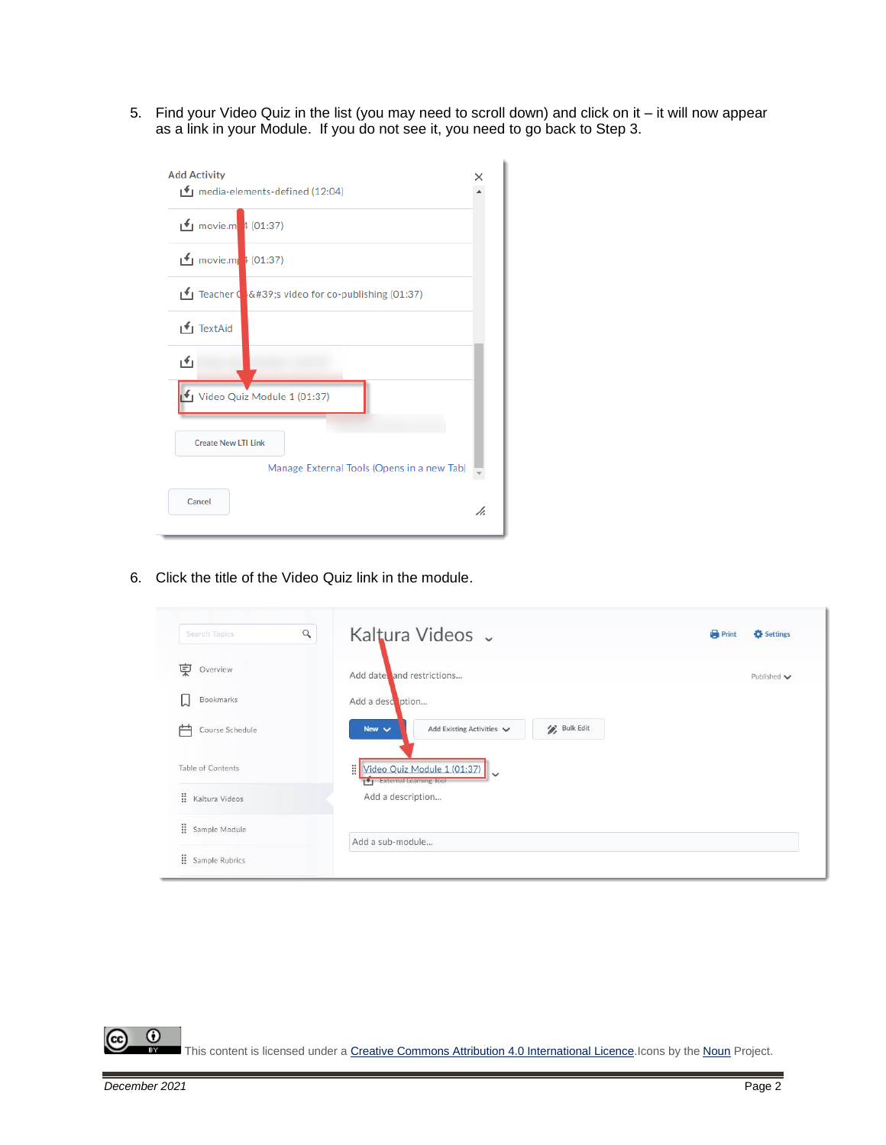5. Find your Video Quiz in the list (you may need to scroll down) and click on it – it will now appear as a link in your Module. If you do not see it, you need to go back to Step 3.

| <b>Add Activity</b><br>● media-elements-defined (12:04)  |    |
|----------------------------------------------------------|----|
| movie.m $4(01:37)$                                       |    |
| movie.m $(01:37)$                                        |    |
| Teacher $\frac{1}{2}$ 's video for co-publishing (01:37) |    |
| TextAid                                                  |    |
| گ                                                        |    |
| Video Quiz Module 1 (01:37)                              |    |
| <b>Create New LTI Link</b>                               |    |
| Manage External Tools (Opens in a new Tab)               |    |
| Cancel                                                   | h. |

6. Click the title of the Video Quiz link in the module.

| $\alpha$<br>Search Topics            | Kaltura Videos v                                                                          | <b>Print</b><br>Settings        |
|--------------------------------------|-------------------------------------------------------------------------------------------|---------------------------------|
| 稟<br>Overview                        | Add date and restrictions                                                                 | Published $\blacktriangleright$ |
| Bookmarks                            | Add a description<br><b>Bulk Edit</b><br>Add Existing Activities V<br>New $\checkmark$    |                                 |
| Course Schedule<br>Table of Contents | 핆<br>Video Quiz Module 1 (01:37)<br>$\ddot{\phantom{0}}$<br><b>External Learning Tool</b> |                                 |
| <b>H</b> Kaltura Videos              | Add a description                                                                         |                                 |
| : Sample Module                      | Add a sub-module                                                                          |                                 |
| Sample Rubrics                       |                                                                                           |                                 |

 $\overline{0}$ This content is licensed under [a Creative Commons Attribution 4.0 International Licence.I](https://creativecommons.org/licenses/by/4.0/)cons by the [Noun](https://creativecommons.org/website-icons/) Project.